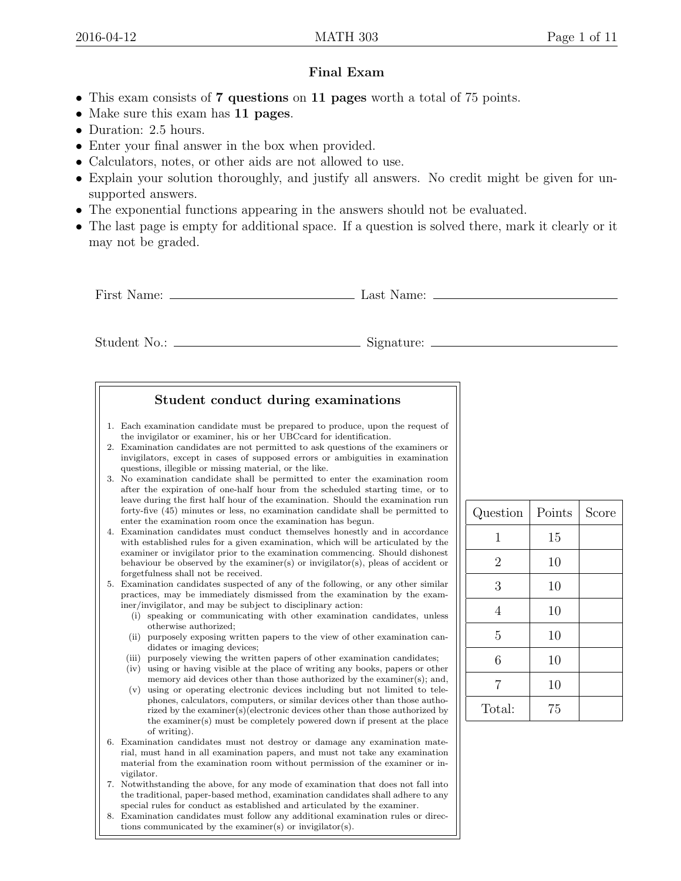## Final Exam

- This exam consists of 7 questions on 11 pages worth a total of 75 points.
- Make sure this exam has 11 pages.
- Duration: 2.5 hours.
- Enter your final answer in the box when provided.
- Calculators, notes, or other aids are not allowed to use.
- Explain your solution thoroughly, and justify all answers. No credit might be given for unsupported answers.
- The exponential functions appearing in the answers should not be evaluated.
- The last page is empty for additional space. If a question is solved there, mark it clearly or it may not be graded.

First Name: Last Name:

Student No.: Signature:



| Question       | Points | Score |
|----------------|--------|-------|
| 1              | 15     |       |
| $\overline{2}$ | 10     |       |
| 3              | 10     |       |
| 4              | 10     |       |
| 5              | 10     |       |
| 6              | 10     |       |
| 7              | 10     |       |
| Total:         | 75     |       |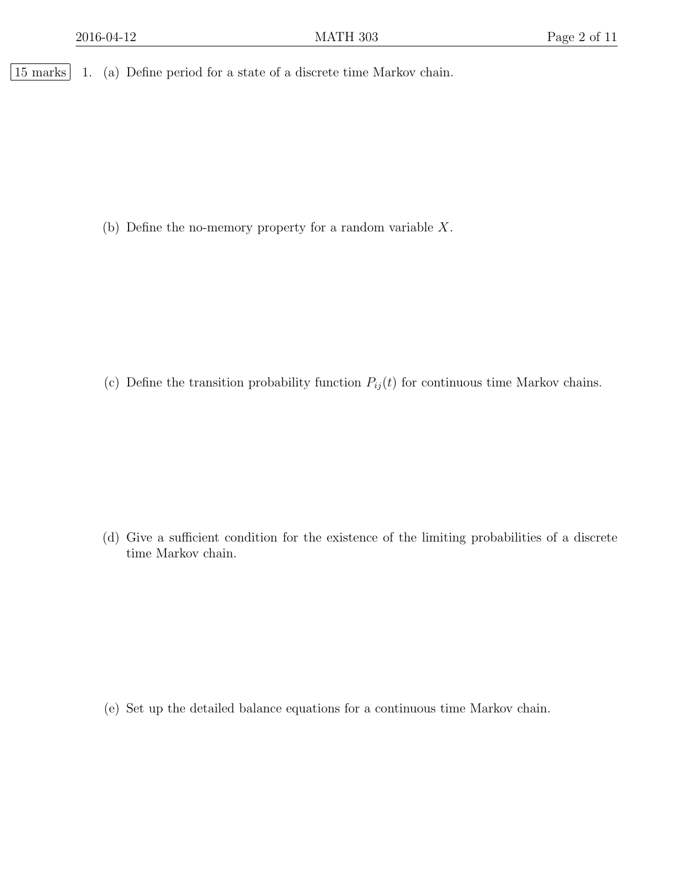15 marks 1. (a) Define period for a state of a discrete time Markov chain.

(b) Define the no-memory property for a random variable X.

(c) Define the transition probability function  $P_{ij}(t)$  for continuous time Markov chains.

(d) Give a sufficient condition for the existence of the limiting probabilities of a discrete time Markov chain.

(e) Set up the detailed balance equations for a continuous time Markov chain.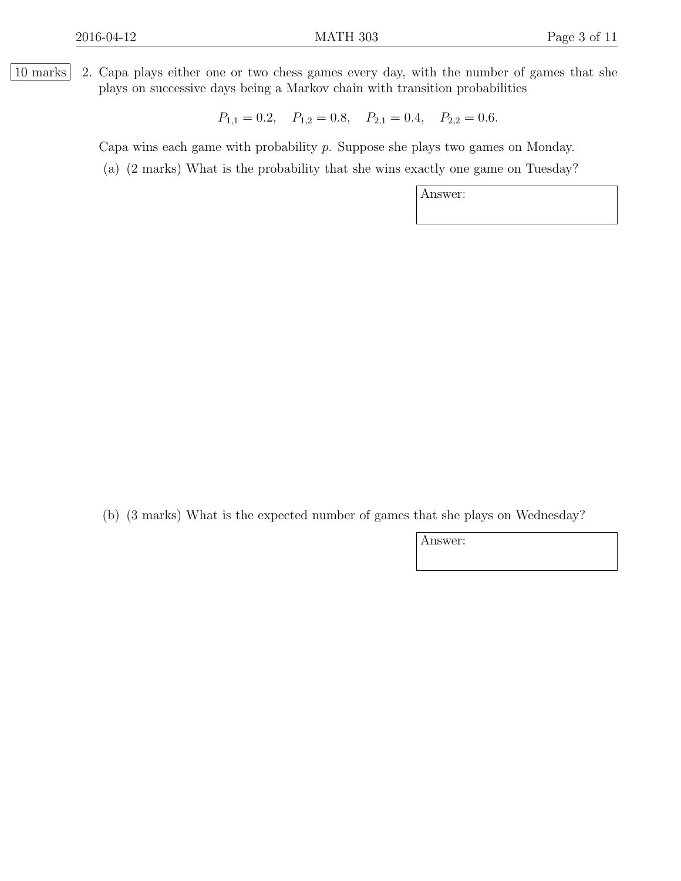10 marks 2. Capa plays either one or two chess games every day, with the number of games that she plays on successive days being a Markov chain with transition probabilities

 $P_{1,1} = 0.2, \quad P_{1,2} = 0.8, \quad P_{2,1} = 0.4, \quad P_{2,2} = 0.6.$ 

Capa wins each game with probability p. Suppose she plays two games on Monday.

(a) (2 marks) What is the probability that she wins exactly one game on Tuesday?

Answer:

(b) (3 marks) What is the expected number of games that she plays on Wednesday?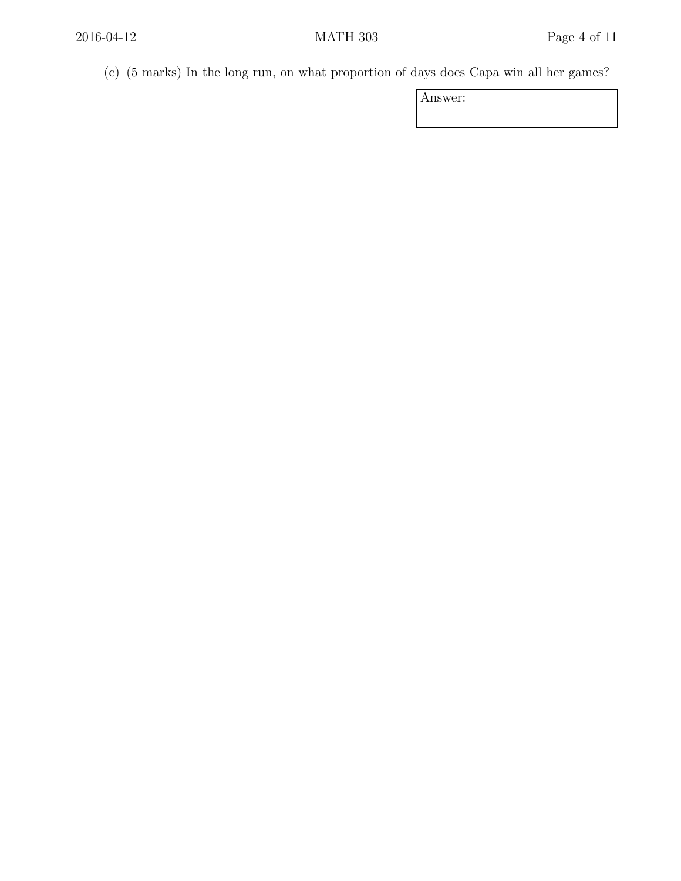(c) (5 marks) In the long run, on what proportion of days does Capa win all her games?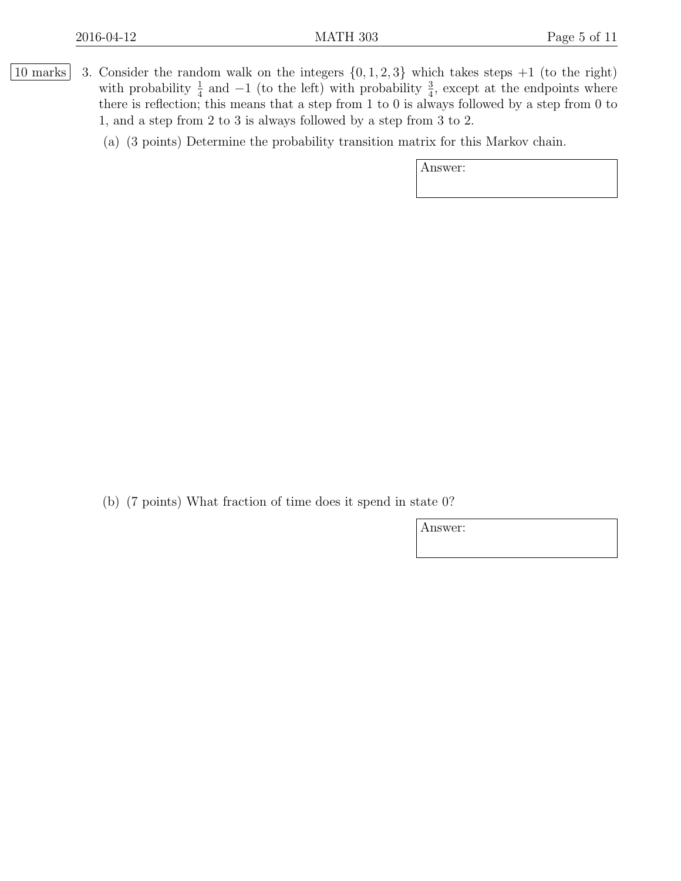- |10 marks| 3. Consider the random walk on the integers  $\{0, 1, 2, 3\}$  which takes steps  $+1$  (to the right) with probability  $\frac{1}{4}$  and  $-1$  (to the left) with probability  $\frac{3}{4}$ , except at the endpoints where there is reflection; this means that a step from 1 to 0 is always followed by a step from 0 to 1, and a step from 2 to 3 is always followed by a step from 3 to 2.
	- (a) (3 points) Determine the probability transition matrix for this Markov chain.

Answer:

(b) (7 points) What fraction of time does it spend in state 0?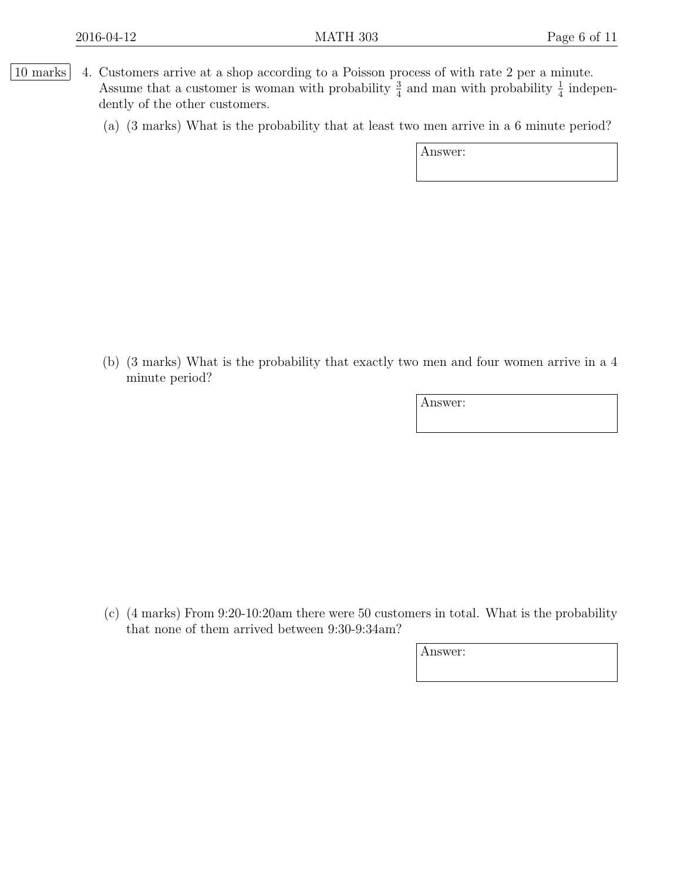- [10 marks] 4. Customers arrive at a shop according to a Poisson process of with rate 2 per a minute. Assume that a customer is woman with probability  $\frac{3}{4}$  and man with probability  $\frac{1}{4}$  independently of the other customers.
	- (a) (3 marks) What is the probability that at least two men arrive in a 6 minute period?

Answer:

(b) (3 marks) What is the probability that exactly two men and four women arrive in a 4 minute period?

Answer:

(c) (4 marks) From 9:20-10:20am there were 50 customers in total. What is the probability that none of them arrived between 9:30-9:34am?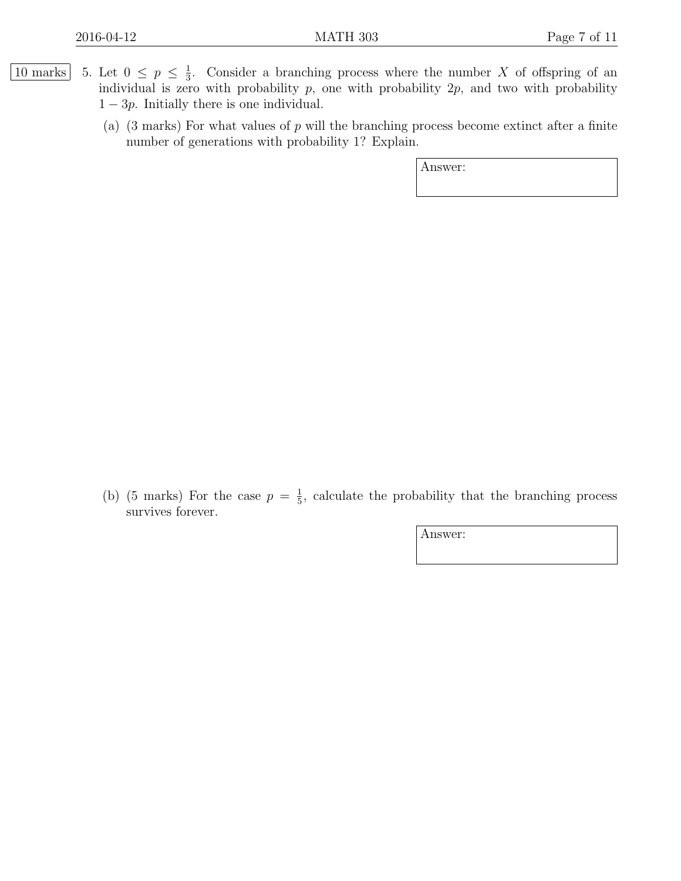- 10 marks 5. Let  $0 \leq p \leq \frac{1}{3}$  $\frac{1}{3}$ . Consider a branching process where the number X of offspring of an individual is zero with probability  $p$ , one with probability  $2p$ , and two with probability  $1 - 3p$ . Initially there is one individual.
	- (a)  $(3 \text{ marks})$  For what values of p will the branching process become extinct after a finite number of generations with probability 1? Explain.

Answer:

(b) (5 marks) For the case  $p = \frac{1}{5}$  $\frac{1}{5}$ , calculate the probability that the branching process survives forever.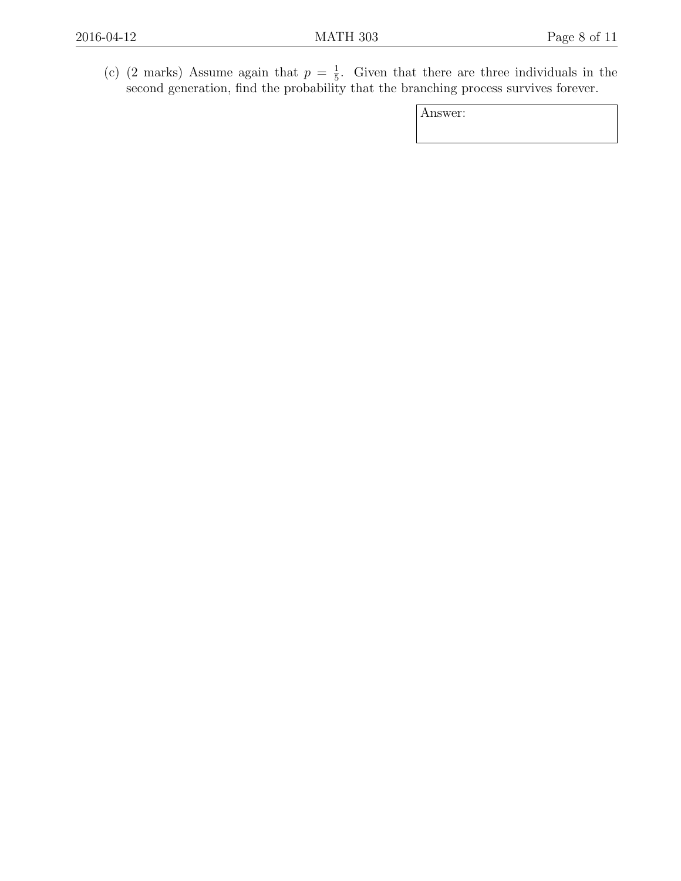(c) (2 marks) Assume again that  $p = \frac{1}{5}$  $\frac{1}{5}$ . Given that there are three individuals in the second generation, find the probability that the branching process survives forever.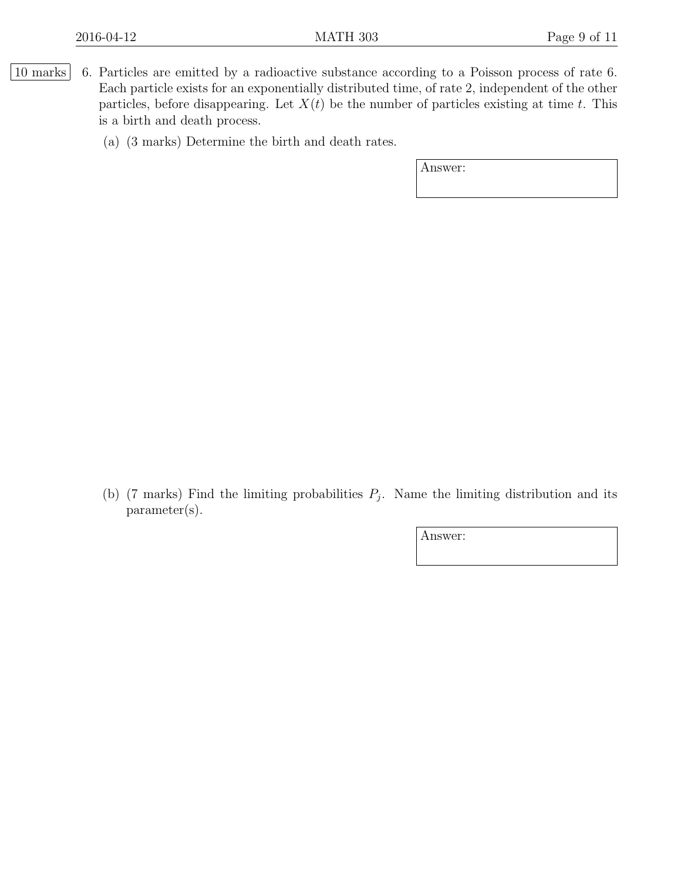|10 marks| 6. Particles are emitted by a radioactive substance according to a Poisson process of rate 6. Each particle exists for an exponentially distributed time, of rate 2, independent of the other particles, before disappearing. Let  $X(t)$  be the number of particles existing at time t. This is a birth and death process.

(a) (3 marks) Determine the birth and death rates.

Answer:

(b) (7 marks) Find the limiting probabilities  $P_j$ . Name the limiting distribution and its parameter(s).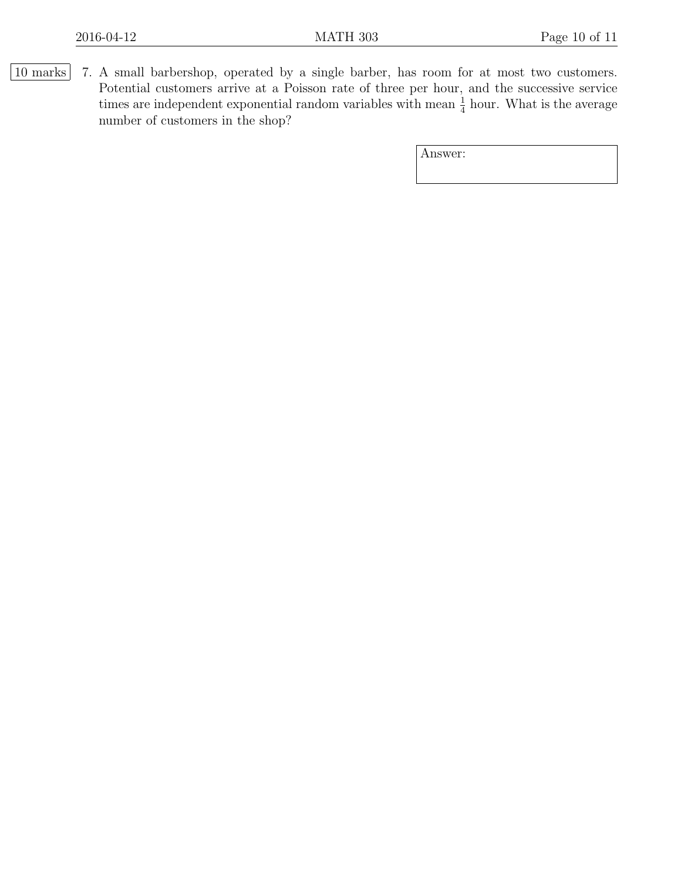10 marks 7. A small barbershop, operated by a single barber, has room for at most two customers. Potential customers arrive at a Poisson rate of three per hour, and the successive service times are independent exponential random variables with mean  $\frac{1}{4}$  hour. What is the average number of customers in the shop?